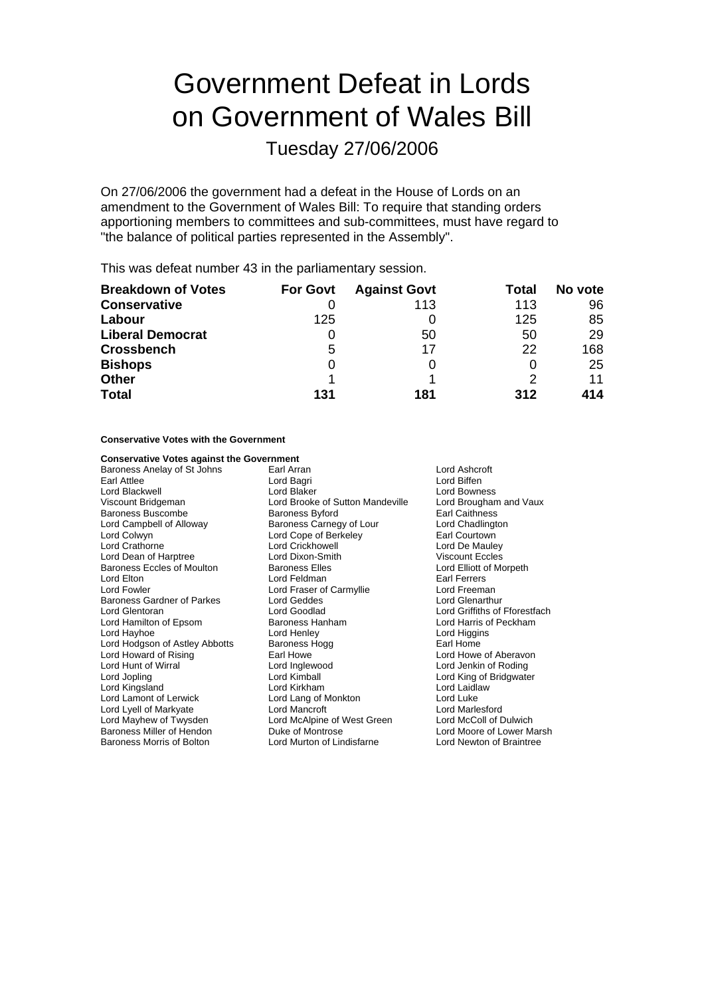# Government Defeat in Lords on Government of Wales Bill

Tuesday 27/06/2006

On 27/06/2006 the government had a defeat in the House of Lords on an amendment to the Government of Wales Bill: To require that standing orders apportioning members to committees and sub-committees, must have regard to "the balance of political parties represented in the Assembly".

This was defeat number 43 in the parliamentary session.

| <b>Breakdown of Votes</b> | <b>For Govt</b> | <b>Against Govt</b> | Total | No vote |
|---------------------------|-----------------|---------------------|-------|---------|
| <b>Conservative</b>       |                 | 113                 | 113   | 96      |
| Labour                    | 125             |                     | 125   | 85      |
| <b>Liberal Democrat</b>   | 0               | 50                  | 50    | 29      |
| <b>Crossbench</b>         | 5               | 17                  | 22    | 168     |
| <b>Bishops</b>            | 0               |                     | O     | 25      |
| <b>Other</b>              |                 |                     | 2     | 11      |
| <b>Total</b>              | 131             | 181                 | 312   | 414     |

#### **Conservative Votes with the Government**

#### **Conservative Votes against the Government**

Earl Attlee **Lord Bagri** Lord Bagri **Lord Biffen** Lord Blackwell **Lord Blaker** Lord Blaker Lord Bowness<br>
Lord Brooke of Sutton Mandeville Lord Brookney Lord Brookney Lord Brooke of Sutton Mandeville Baroness Buscombe Baroness Byford Earl Caithness Lord Campbell of Alloway Baroness Carnegy of Lour Lord Chadlington Lord Colwyn Lord Cope of Ber eley k Earl Courtown Lord Dean of Harptree **Lord Dixon-Smith** Viscount Eccles<br>
Baroness Eccles of Moulton Baroness Elles **Lord Elliott of Morpeth** Baroness Eccles of Moulton Baroness Elles<br>
Lord Elton Lord Elliott of Lord Eeldman<br>
Lord Feldman Lord Elton Lord Feldman Earl Ferrers Baroness Gardner of Parkes Lord Geddes Lord Generathur<br>
Lord Glentoran Lord Goodlad Lord Goodlad Lord Griffiths of Lord Hamilton of Epsom Lord Hayhoe **Lord Henley** Lord Henley **Lord Higgins** Lord Hodgson of Astley Abbotts Baroness Hogg Earl Home<br>
Lord Howard of Rising Earl Howe Earl Howe Earl Howe Lord Howard of Rising **Earl Howe Communist Corporation Corporation** Lord Howe of Aberavon<br>
Lord Hunt of Wirral **Communist Corporation** Lord Lord Jenkin of Roding Lord Jopling Lord Kimball Lord King of Bridgwater Lord Kingsland Lord Kirkham Lord Laidlaw Lord Lyell of Markyate Lord Mancroft Lord Marlesford Lord Mayhew of Twysden Lord McAlpine of West Green<br>Baroness Miller of Hendon Duke of Montrose Baroness Morris of Bolton Lord Murton of Lindisfarne

Baroness Anelay of St Johns Earl Arran Earl Arran Lord Ashcroft Lord Brooke of Sutton Mandeville Lord Crickhowell Lord Fraser of Carmyllie Lord Goodlad **Lord Griffiths of Fforestfach**<br>
Baroness Hanham **Lord Harris of Peckham** Lord Lang of Monkton

Lord Jenkin of Roding Lord Moore of Lower Marsh<br>Lord Newton of Braintree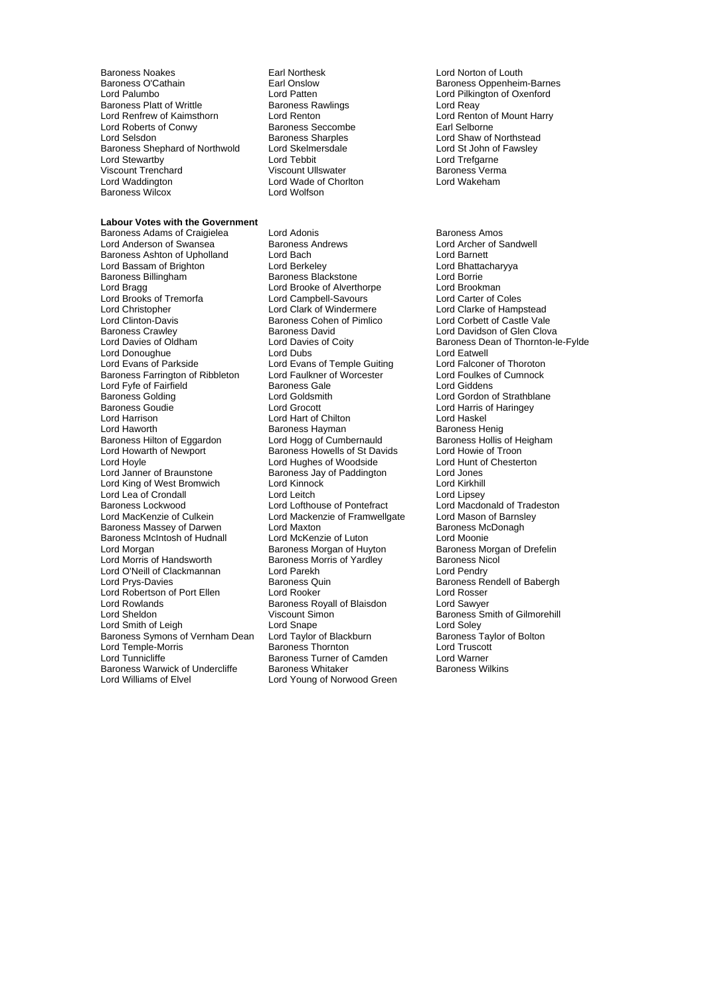Baroness Noakes **Earl Northesk** Earl Northesk Lord Norton of Louth<br>Baroness O'Cathain **Earl Onslow** Earl Onslow Baroness Oppenheir Baroness O'Cathain **Earl Onslow** Earl Onslow Baroness Oppenheim-Barnes<br> **Earl Onslow Baroness Oppenheim-Barness**<br>
Lord Patten **Earl Onslow** External Lord Pilkington of Oxenford Baroness Platt of Writtle **Baroness Ra Lord Reay**<br>
Lord Renfrew of Kaimsthorn **Baroness Rawlings** W Lord Renton of Mount Harry Lord Renfrew of Kaimsthorn Lord Renton Cord Renton Cord Renton of Renton of American Cord Renton of Lord Renton Cord Renton of Mount Harry Harry Harry Harry Harry Harry Harry Harry Harry Harry Harry Harry Harry Harry Harry Lord Roberts of Conwy<br>
Lord Selsdon<br>
Baroness Sharples Baroness Shephard of Northwold Lord Skelmersdale Lord St John of Lord St John of Exercise Cord Tebbit Lord Te<br>
Lord Stewartby Lord Tebbit Lord Tebbit Lord Stewartby **Lord Team** Lord Tebbit Lord Trefgarne<br>
Viscount Trenchard Ciscount Ullswater Charles Baroness Verma Viscount Trenchard Viscount Ullswater Baroness Verma Baroness Wilcox

#### **Labour Votes with the Government**

Baroness Ashton of Upholland Lord Bach Lord Barnett Lord Bassam of Brighton **Lord Berkeley** Lord Bhattachary<br>
Baroness Billingham **Communist Baroness Blackstone** Lord Borrie Baroness Billingham Lord Bragg Lord Brooke of Alverthorpe Lord Brookman<br>
Lord Brooks of Tremorfa Lord Campbell-Savours Lord Carter of Coles Lord Brooks of Tr morfa e Lord Campbell-Savours Lord Carter of Coles Lord Christopher **Lord Clark of Windermere** Lord Clarke of Hampstead<br>
Lord Clinton-Davis **Colomet Baroness Cohen of Pimlico** Lord Corbett of Castle Vale Lord Clinton-Davis **Baroness Cohen of Pimlico**<br>
Baroness Crawley **Baroness David** Baroness Crawley **Baroness David Clove Clove Crawley** Lord Davidson of Glen Clova<br>
Lord Davies of Oldham Lord Davies of Coity **Baroness Dean of Thornton-I** Lord Donoughue **Lord Dubs**<br>
Lord Evans of Parkside **Lord Evans of Temple Guiting** Lord Falconer of Thoroton Baroness Farrington of Ribbleton Lord Faulkner of Worcester **Frankling Lord Foulkes of Cumnock**<br>
Lord Fyfe of Fairfield **Exercise** Baroness Gale **Frankling Corporation** Lord Giddens Lord Fyfe of Fairfield **Baroness Gale**<br>Baroness Golding **Baroness** Lord Goldsmith Baroness Golding **Communist Conditains Conditains Conditains** Lord Gordon of Strathblane<br>
Lord Grocott **Communist Conditains**<br>
Lord Grocott **Communist Conditains**<br>
Lord Harris of Haringey Lord Harrison Lord Hart of Chilton Lord Haskel Baroness Hilton of Eggardon Lord Hogg of Cumbernauld Baroness Hollis of Heigham Baroness Hollis of Heigham Baroness Howells of St Davids Lord Howie of Troon Lord Howarth of Newport Baroness Howells of St Davids<br>
Lord Howle of Troon<br>
Lord Howle Chesterton<br>
Lord Howle Chesterton Lord Hoyle **Lord Hughes of Woodside** Lord Hunt c<br>
Lord Janner of Braunstone **Lord Baroness Jav of Paddington** Lord Jones Lord King of West Bromwich Lord Kinnock Lord Cord Kirkhill<br>
Lord Lea of Crondall Lord Lord Leitch Lord Lord Lipsey Lord Lea of Crondall Lord Leitch<br>
Baroness Lockwood Lord Lord Lofthouse of Pontefract Baroness Lockwood **Lord Lord Lofthouse of Pontefract** Lord Macdonald of Tradeston<br>
Lord MacKenzie of Culkein **Lord Mackenzie of Framwellgate** Lord Mason of Barnsley Baroness Massey of Darwen Lord Maxton Lord During Baroness McDonagh<br>
Baroness McIntosh of Hudnall Lord McKenzie of Luton Lord Moonie Baroness McIntosh of Hudnall Lord McKenzie of Luton<br>Lord Morgan Lord Baroness Morgan of Huvton Lord Morris of Handsworth **Baroness Morris of Yardley** Baroness Nicol<br>
Lord O'Neill of Clackmannan Lord Parekh **Baroness Nicol Cord Pendry** Lord O'Neill of Clackmannan Lord Parekh<br>Lord Prys-Davies **Calcul Baroness** Quin Lord Robertson of Port Ellen Lord Rooker Lord Robertson of Port Ellen Lord Rooker Lord Rosser<br>
Lord Rowlands Baroness Royall of Blaisdon Lord Sawyer Lord Rowlands **Baroness Royall of Blaisdon**<br>
Lord Sheldon **Communist Communist Communist Communist Communist Communist Communist Communist Communist Communist** Lord Smith of Leigh Lord Soley Lord Soley Lord Soley Lord Soley<br>
Baroness Symons of Vernham Dean Lord Taylor of Blackburn Baroness Taylor of Bolton Baroness Symons of Vernham Dean Lord Temple-Morris **Example 1 Report Constructs** Baroness Thornton **Camden** Lord Truscott<br>
Lord Tunnicliffe **Cammade Baroness Turner of Camden** Lord Warner Baroness Warwick of Undercliffe<br>Lord Williams of Elvel

Lord Wade of Chorlton<br>Lord Wolfson

Baroness Adams of Craigielea Lord Adonis Lord Adonis Baroness Amos<br>
Lord Anderson of Swansea Baroness Andrews Lord Archer of S Lord Evans of Temple Guiting Lord Grocott Lord Harris of Haringey Baroness Hayman Baroness Henig<br>
Lord Hogg of Cumbernauld Baroness Hollis of Heigham Exaroness Jay of Paddington **Baroness Jay of Paddington**<br>
Lord Kinnock **Dramatic Lord Kirkhill** Lord Mackenzie of Framwellgate Baroness Quin Baroness Rendell of Babergh<br> **Lord Rooker** Baroness Rendell of Babergh<br> **Baroness Quin** Baroness Rendell of Babergh Baroness Turner of Camden Lord Warner<br>
Baroness Whitaker Camden Baroness Wilkins Lord Young of Norwood Green

Lord Patten **Lord Pilkington of Oxenford**<br> **Baroness Rawlings Lord Reav Lord Reav** Baroness Sharples<br>
Lord Shaw of Northstead<br>
Lord St John of Fawsley<br>
Lord St John of Fawsley

Lord Archer of Sandwell Lord Davies of Coity **Baroness Dean of Thornton-le-Fylde**<br>
Lord Dubs Coity **Baroness Dean of Thornton-le-Fylde** Baroness Morgan of Drefelin Baroness Smith of Gilmorehill